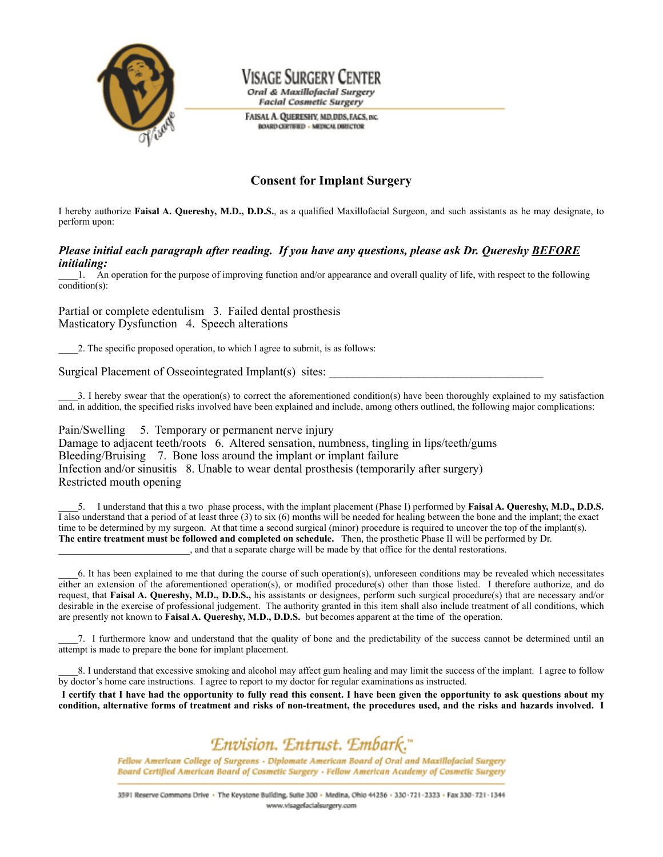

## Visage Surgery Center Oral & Maxillofacial Surgery

**Facial Cosmetic Surgery** 

FAISAL A. QUERESHY, MD.DDS, FACS, INC. **BOARD CERTIFIED - MEDICAL DIRECTOR** 

## **Consent for Implant Surgery**

I hereby authorize **Faisal A. Quereshy, M.D., D.D.S.**, as a qualified Maxillofacial Surgeon, and such assistants as he may designate, to perform upon:

## *Please initial each paragraph after reading. If you have any questions, please ask Dr. Quereshy BEFORE initialing:*

\_\_\_\_1. An operation for the purpose of improving function and/or appearance and overall quality of life, with respect to the following condition(s):

Partial or complete edentulism 3. Failed dental prosthesis Masticatory Dysfunction 4. Speech alterations

\_\_\_\_2. The specific proposed operation, to which I agree to submit, is as follows:

Surgical Placement of Osseointegrated Implant(s) sites:

\_\_\_\_3. I hereby swear that the operation(s) to correct the aforementioned condition(s) have been thoroughly explained to my satisfaction and, in addition, the specified risks involved have been explained and include, among others outlined, the following major complications:

Pain/Swelling 5. Temporary or permanent nerve injury Damage to adjacent teeth/roots 6. Altered sensation, numbness, tingling in lips/teeth/gums Bleeding/Bruising 7. Bone loss around the implant or implant failure Infection and/or sinusitis 8. Unable to wear dental prosthesis (temporarily after surgery) Restricted mouth opening

\_\_\_\_5. I understand that this a two phase process, with the implant placement (Phase I) performed by **Faisal A. Quereshy, M.D., D.D.S.**  $\overline{1}$  also understand that a period of at least three (3) to six (6) months will be needed for healing between the bone and the implant; the exact time to be determined by my surgeon. At that time a second surgical (minor) procedure is required to uncover the top of the implant(s). **The entire treatment must be followed and completed on schedule.** Then, the prosthetic Phase II will be performed by Dr. \_\_\_\_\_\_\_\_\_\_\_\_\_\_\_\_\_\_\_\_\_\_\_\_\_\_\_, and that a separate charge will be made by that office for the dental restorations.

\_\_\_\_6. It has been explained to me that during the course of such operation(s), unforeseen conditions may be revealed which necessitates either an extension of the aforementioned operation(s), or modified procedure(s) other than those listed. I therefore authorize, and do request, that **Faisal A. Quereshy, M.D., D.D.S.,** his assistants or designees, perform such surgical procedure(s) that are necessary and/or desirable in the exercise of professional judgement. The authority granted in this item shall also include treatment of all conditions, which are presently not known to **Faisal A. Quereshy, M.D., D.D.S.** but becomes apparent at the time of the operation.

\_\_\_\_7. I furthermore know and understand that the quality of bone and the predictability of the success cannot be determined until an attempt is made to prepare the bone for implant placement.

8. I understand that excessive smoking and alcohol may affect gum healing and may limit the success of the implant. I agree to follow by doctor's home care instructions. I agree to report to my doctor for regular examinations as instructed.

I certify that I have had the opportunity to fully read this consent. I have been given the opportunity to ask questions about my condition, alternative forms of treatment and risks of non-treatment, the procedures used, and the risks and hazards involved. I



Fellow American College of Surgeons - Diplomate American Board of Oral and Maxillofacial Surgery Board Certified American Board of Cosmetic Surgery - Fellow American Academy of Cosmetic Surgery

3591 Reserve Commons Drive . The Keystone Building, Suite 300 - Medina, Ohio 44256 - 330-721-2323 - Fax 330-721-1344 www.visagefacialsurgery.com